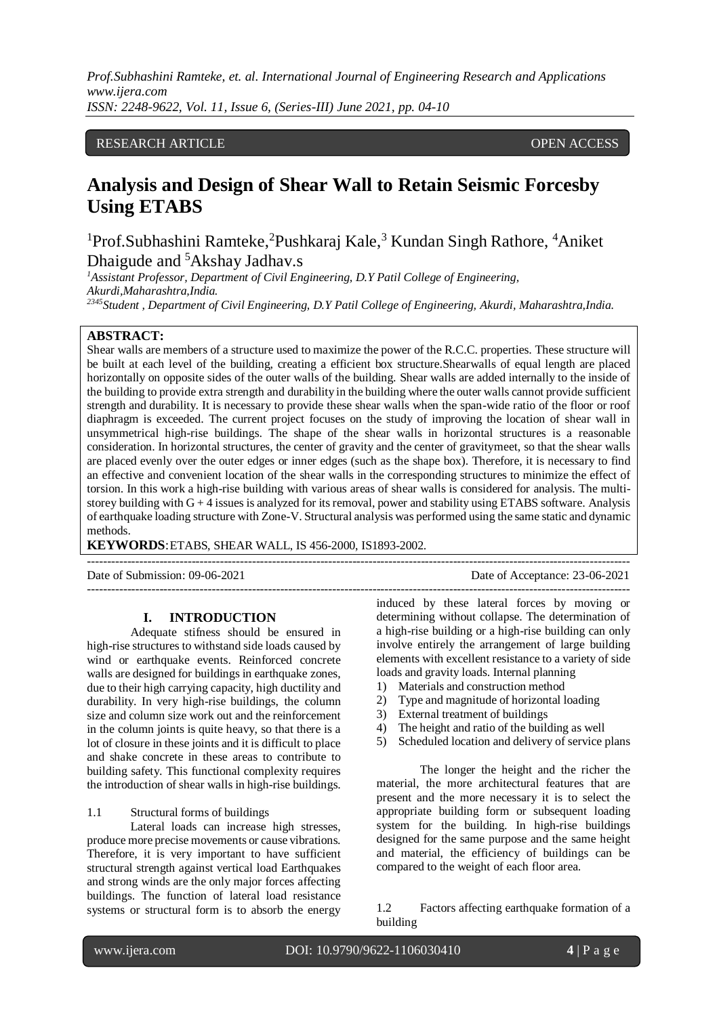*Prof.Subhashini Ramteke, et. al. International Journal of Engineering Research and Applications www.ijera.com ISSN: 2248-9622, Vol. 11, Issue 6, (Series-III) June 2021, pp. 04-10*

## RESEARCH ARTICLE **CONSERVERS** OPEN ACCESS

# **Analysis and Design of Shear Wall to Retain Seismic Forcesby Using ETABS**

<sup>1</sup>Prof.Subhashini Ramteke,<sup>2</sup>Pushkaraj Kale,<sup>3</sup> Kundan Singh Rathore, <sup>4</sup>Aniket Dhaigude and <sup>5</sup>Akshay Jadhav.s

<sup>1</sup>*Assistant Professor, Department of Civil Engineering, D.Y Patil College of Engineering, Akurdi,Maharashtra,India.*

*<sup>2345</sup>Student , Department of Civil Engineering, D.Y Patil College of Engineering, Akurdi, Maharashtra,India.*

# **ABSTRACT:**

Shear walls are members of a structure used to maximize the power of the R.C.C. properties. These structure will be built at each level of the building, creating a efficient box structure.Shearwalls of equal length are placed horizontally on opposite sides of the outer walls of the building. Shear walls are added internally to the inside of the building to provide extra strength and durability in the building where the outer walls cannot provide sufficient strength and durability. It is necessary to provide these shear walls when the span-wide ratio of the floor or roof diaphragm is exceeded. The current project focuses on the study of improving the location of shear wall in unsymmetrical high-rise buildings. The shape of the shear walls in horizontal structures is a reasonable consideration. In horizontal structures, the center of gravity and the center of gravitymeet, so that the shear walls are placed evenly over the outer edges or inner edges (such as the shape box). Therefore, it is necessary to find an effective and convenient location of the shear walls in the corresponding structures to minimize the effect of torsion. In this work a high-rise building with various areas of shear walls is considered for analysis. The multistorey building with  $G + 4$  issues is analyzed for its removal, power and stability using ETABS software. Analysis of earthquake loading structure with Zone-V. Structural analysis was performed using the same static and dynamic methods.

---------------------------------------------------------------------------------------------------------------------------------------

---------------------------------------------------------------------------------------------------------------------------------------

**KEYWORDS**:ETABS, SHEAR WALL, IS 456-2000, IS1893-2002.

Date of Submission: 09-06-2021 Date of Acceptance: 23-06-2021

## **I. INTRODUCTION**

Adequate stifness should be ensured in high-rise structures to withstand side loads caused by wind or earthquake events. Reinforced concrete walls are designed for buildings in earthquake zones. due to their high carrying capacity, high ductility and durability. In very high-rise buildings, the column size and column size work out and the reinforcement in the column joints is quite heavy, so that there is a lot of closure in these joints and it is difficult to place and shake concrete in these areas to contribute to building safety. This functional complexity requires the introduction of shear walls in high-rise buildings.

1.1 Structural forms of buildings

Lateral loads can increase high stresses, produce more precise movements or cause vibrations. Therefore, it is very important to have sufficient structural strength against vertical load Earthquakes and strong winds are the only major forces affecting buildings. The function of lateral load resistance systems or structural form is to absorb the energy induced by these lateral forces by moving or determining without collapse. The determination of a high-rise building or a high-rise building can only involve entirely the arrangement of large building elements with excellent resistance to a variety of side loads and gravity loads. Internal planning

- 1) Materials and construction method
- 2) Type and magnitude of horizontal loading
- 3) External treatment of buildings
- 4) The height and ratio of the building as well
- 5) Scheduled location and delivery of service plans

The longer the height and the richer the material, the more architectural features that are present and the more necessary it is to select the appropriate building form or subsequent loading system for the building. In high-rise buildings designed for the same purpose and the same height and material, the efficiency of buildings can be compared to the weight of each floor area.

1.2 Factors affecting earthquake formation of a building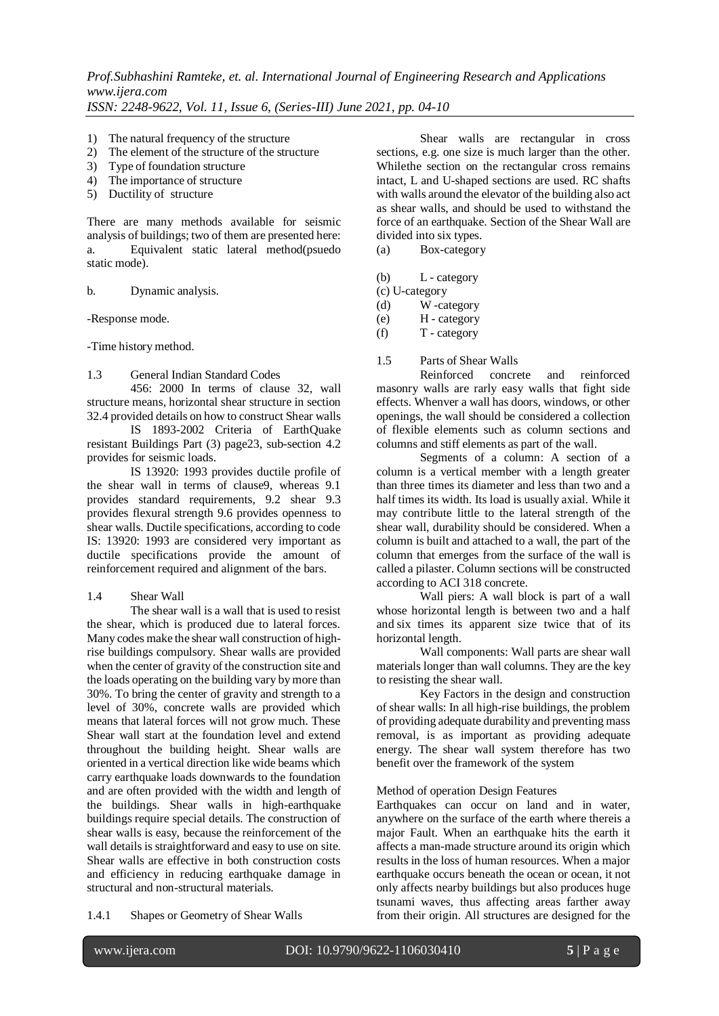- 1) The natural frequency of the structure
- 2) The element of the structure of the structure
- 3) Type of foundation structure
- 4) The importance of structure
- 5) Ductility of structure

There are many methods available for seismic analysis of buildings; two of them are presented here: a. Equivalent static lateral method(psuedo static mode).

b. Dynamic analysis.

-Response mode.

-Time history method.

## 1.3 General Indian Standard Codes

456: 2000 In terms of clause 32, wall structure means, horizontal shear structure in section 32.4 provided details on how to construct Shear walls

IS 1893-2002 Criteria of EarthQuake resistant Buildings Part (3) page23, sub-section 4.2 provides for seismic loads.

IS 13920: 1993 provides ductile profile of the shear wall in terms of clause9, whereas 9.1 provides standard requirements, 9.2 shear 9.3 provides flexural strength 9.6 provides openness to shear walls. Ductile specifications, according to code IS: 13920: 1993 are considered very important as ductile specifications provide the amount of reinforcement required and alignment of the bars.

## 1.4 Shear Wall

The shear wall is a wall that is used to resist the shear, which is produced due to lateral forces. Many codes make the shear wall construction of highrise buildings compulsory. Shear walls are provided when the center of gravity of the construction site and the loads operating on the building vary by more than 30%. To bring the center of gravity and strength to a level of 30%, concrete walls are provided which means that lateral forces will not grow much. These Shear wall start at the foundation level and extend throughout the building height. Shear walls are oriented in a vertical direction like wide beams which carry earthquake loads downwards to the foundation and are often provided with the width and length of the buildings. Shear walls in high-earthquake buildings require special details. The construction of shear walls is easy, because the reinforcement of the wall details is straightforward and easy to use on site. Shear walls are effective in both construction costs and efficiency in reducing earthquake damage in structural and non-structural materials.

Shear walls are rectangular in cross sections, e.g. one size is much larger than the other. Whilethe section on the rectangular cross remains intact, L and U-shaped sections are used. RC shafts with walls around the elevator of the building also act as shear walls, and should be used to withstand the force of an earthquake. Section of the Shear Wall are divided into six types.

(a) Box-category

(b) L - category

(c) U-category

(d) W -category

(e) H - category

 $(T - \text{category})$ 

1.5 Parts of Shear Walls

Reinforced concrete and reinforced masonry walls are rarly easy walls that fight side effects. Whenver a wall has doors, windows, or other openings, the wall should be considered a collection of flexible elements such as column sections and columns and stiff elements as part of the wall.

Segments of a column: A section of a column is a vertical member with a length greater than three times its diameter and less than two and a half times its width. Its load is usually axial. While it may contribute little to the lateral strength of the shear wall, durability should be considered. When a column is built and attached to a wall, the part of the column that emerges from the surface of the wall is called a pilaster. Column sections will be constructed according to ACI 318 concrete.

Wall piers: A wall block is part of a wall whose horizontal length is between two and a half and six times its apparent size twice that of its horizontal length.

Wall components: Wall parts are shear wall materials longer than wall columns. They are the key to resisting the shear wall.

Key Factors in the design and construction of shear walls: In all high-rise buildings, the problem of providing adequate durability and preventing mass removal, is as important as providing adequate energy. The shear wall system therefore has two benefit over the framework of the system

## Method of operation Design Features

Earthquakes can occur on land and in water, anywhere on the surface of the earth where thereis a major Fault. When an earthquake hits the earth it affects a man-made structure around its origin which results in the loss of human resources. When a major earthquake occurs beneath the ocean or ocean, it not only affects nearby buildings but also produces huge tsunami waves, thus affecting areas farther away from their origin. All structures are designed for the

1.4.1 Shapes or Geometry of Shear Walls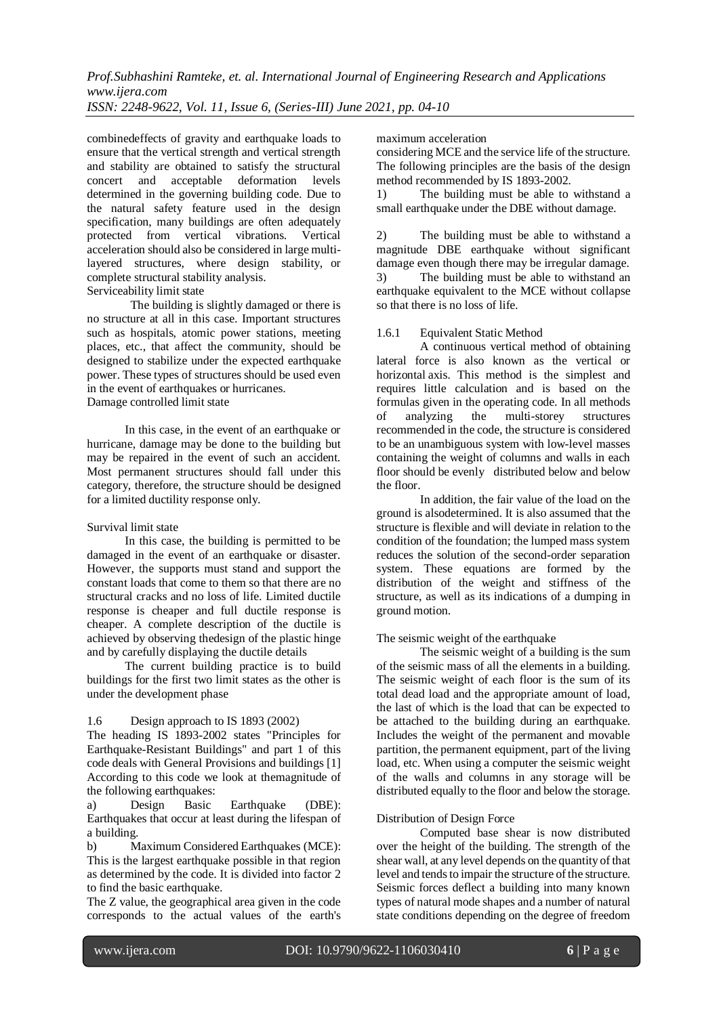*Prof.Subhashini Ramteke, et. al. International Journal of Engineering Research and Applications www.ijera.com*

*ISSN: 2248-9622, Vol. 11, Issue 6, (Series-III) June 2021, pp. 04-10*

combinedeffects of gravity and earthquake loads to ensure that the vertical strength and vertical strength and stability are obtained to satisfy the structural concert and acceptable deformation levels determined in the governing building code. Due to the natural safety feature used in the design specification, many buildings are often adequately protected from vertical vibrations. Vertical acceleration should also be considered in large multilayered structures, where design stability, or complete structural stability analysis. Serviceability limit state

The building is slightly damaged or there is no structure at all in this case. Important structures such as hospitals, atomic power stations, meeting places, etc., that affect the community, should be designed to stabilize under the expected earthquake power. These types of structures should be used even in the event of earthquakes or hurricanes. Damage controlled limit state

In this case, in the event of an earthquake or hurricane, damage may be done to the building but may be repaired in the event of such an accident. Most permanent structures should fall under this category, therefore, the structure should be designed for a limited ductility response only.

## Survival limit state

In this case, the building is permitted to be damaged in the event of an earthquake or disaster. However, the supports must stand and support the constant loads that come to them so that there are no structural cracks and no loss of life. Limited ductile response is cheaper and full ductile response is cheaper. A complete description of the ductile is achieved by observing thedesign of the plastic hinge and by carefully displaying the ductile details

The current building practice is to build buildings for the first two limit states as the other is under the development phase

## 1.6 Design approach to IS 1893 (2002)

The heading IS 1893-2002 states "Principles for Earthquake-Resistant Buildings" and part 1 of this code deals with General Provisions and buildings [1] According to this code we look at themagnitude of the following earthquakes:

a) Design Basic Earthquake (DBE): Earthquakes that occur at least during the lifespan of a building.

b) Maximum Considered Earthquakes (MCE): This is the largest earthquake possible in that region as determined by the code. It is divided into factor 2 to find the basic earthquake.

The Z value, the geographical area given in the code corresponds to the actual values of the earth's

#### maximum acceleration

considering MCE and the service life of the structure. The following principles are the basis of the design method recommended by IS 1893-2002.

1) The building must be able to withstand a small earthquake under the DBE without damage.

2) The building must be able to withstand a magnitude DBE earthquake without significant damage even though there may be irregular damage. 3) The building must be able to withstand an earthquake equivalent to the MCE without collapse so that there is no loss of life.

#### 1.6.1 Equivalent Static Method

A continuous vertical method of obtaining lateral force is also known as the vertical or horizontal axis. This method is the simplest and requires little calculation and is based on the formulas given in the operating code. In all methods of analyzing the multi-storey structures recommended in the code, the structure is considered to be an unambiguous system with low-level masses containing the weight of columns and walls in each floor should be evenly distributed below and below the floor.

In addition, the fair value of the load on the ground is alsodetermined. It is also assumed that the structure is flexible and will deviate in relation to the condition of the foundation; the lumped mass system reduces the solution of the second-order separation system. These equations are formed by the distribution of the weight and stiffness of the structure, as well as its indications of a dumping in ground motion.

## The seismic weight of the earthquake

The seismic weight of a building is the sum of the seismic mass of all the elements in a building. The seismic weight of each floor is the sum of its total dead load and the appropriate amount of load, the last of which is the load that can be expected to be attached to the building during an earthquake. Includes the weight of the permanent and movable partition, the permanent equipment, part of the living load, etc. When using a computer the seismic weight of the walls and columns in any storage will be distributed equally to the floor and below the storage.

## Distribution of Design Force

Computed base shear is now distributed over the height of the building. The strength of the shear wall, at any level depends on the quantity of that level and tends to impair the structure of the structure. Seismic forces deflect a building into many known types of natural mode shapes and a number of natural state conditions depending on the degree of freedom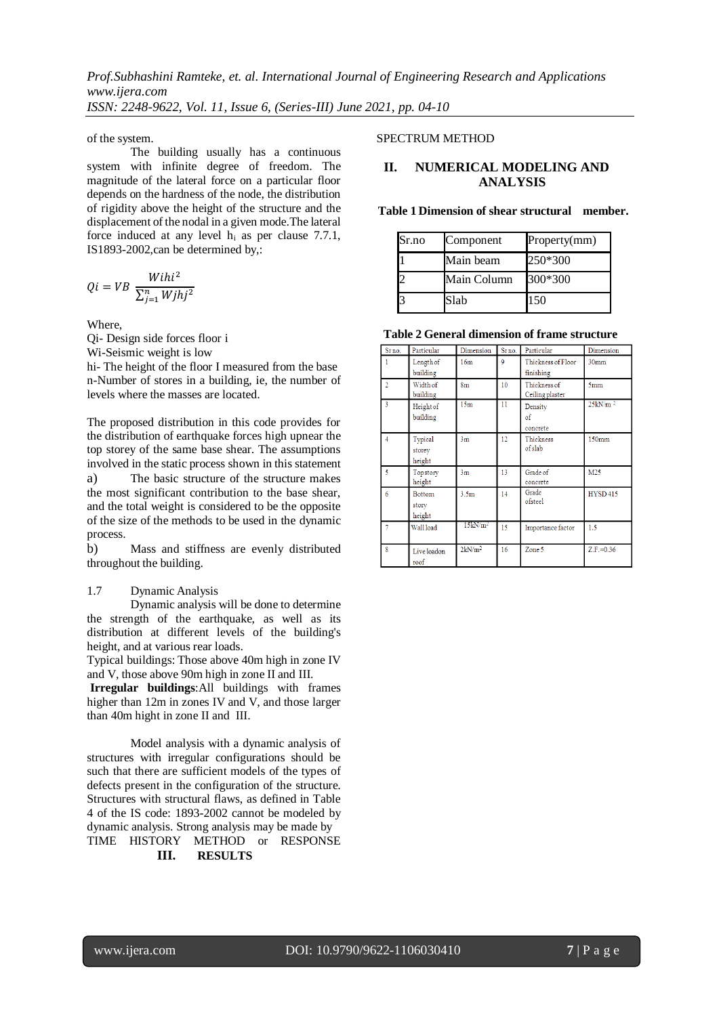of the system.

The building usually has a continuous system with infinite degree of freedom. The magnitude of the lateral force on a particular floor depends on the hardness of the node, the distribution of rigidity above the height of the structure and the displacement of the nodal in a given mode.The lateral force induced at any level  $h_i$  as per clause 7.7.1, IS1893-2002,can be determined by,:

$$
Qi = VB \frac{Withi^2}{\sum_{j=1}^n Wjhj^2}
$$

Where,

Qi- Design side forces floor i

Wi-Seismic weight is low

hi- The height of the floor I measured from the base n-Number of stores in a building, ie, the number of levels where the masses are located.

The proposed distribution in this code provides for the distribution of earthquake forces high upnear the top storey of the same base shear. The assumptions involved in the static process shown in this statement a) The basic structure of the structure makes the most significant contribution to the base shear, and the total weight is considered to be the opposite of the size of the methods to be used in the dynamic process.

b) Mass and stiffness are evenly distributed throughout the building.

#### 1.7 Dynamic Analysis

Dynamic analysis will be done to determine the strength of the earthquake, as well as its distribution at different levels of the building's height, and at various rear loads.

Typical buildings: Those above 40m high in zone IV and V, those above 90m high in zone II and III.

**Irregular buildings**:All buildings with frames higher than 12m in zones IV and V, and those larger than 40m hight in zone II and III.

Model analysis with a dynamic analysis of structures with irregular configurations should be such that there are sufficient models of the types of defects present in the configuration of the structure. Structures with structural flaws, as defined in Table 4 of the IS code: 1893-2002 cannot be modeled by dynamic analysis. Strong analysis may be made by TIME HISTORY METHOD or RESPONSE

#### **III. RESULTS**

#### SPECTRUM METHOD

# **II. NUMERICAL MODELING AND ANALYSIS**

**Table 1 Dimension of shear structural member.**

| Sr.no | Component   | Property(mm) |
|-------|-------------|--------------|
|       | Main beam   | 250*300      |
| 2     | Main Column | 300*300      |
| 3     | Slab        | 150          |

**Table 2 General dimension of frame structure**

| Srno.          | Particular                  | Dimension          | Srno. | Particular                        | Dimension           |
|----------------|-----------------------------|--------------------|-------|-----------------------------------|---------------------|
|                | Length of<br>building       | 16m                | 9     | Thickness of Floor<br>finishing   | 30 <sub>mm</sub>    |
| $\overline{2}$ | Width of<br>building        | 8 <sub>m</sub>     | 10    | Thickness of<br>Ceiling plaster   | 5 <sub>mm</sub>     |
| 3              | Height of<br>building       | 15 <sub>m</sub>    | 11    | Density<br>$\sigma$ f<br>concrete | 25kN/m <sup>2</sup> |
| $\overline{4}$ | Typical<br>storey<br>height | 3m                 | 12    | Thickness<br>of slab              | 150mm               |
| 5              | Topstory<br>height          | 3 <sub>m</sub>     | 13    | Grade of<br>concrete              | M25                 |
| 6              | Bottom<br>story<br>height   | 3.5 <sub>m</sub>   | 14    | Grade<br>ofsteel                  | <b>HYSD415</b>      |
| 7              | Wall load                   | $15 \text{kN/m}^2$ | 15    | Importance factor                 | 1.5                 |
| 8              | Live loadon<br>roof         | 2kN/m <sup>2</sup> | 16    | Zone 5                            | $Z.F.=0.36$         |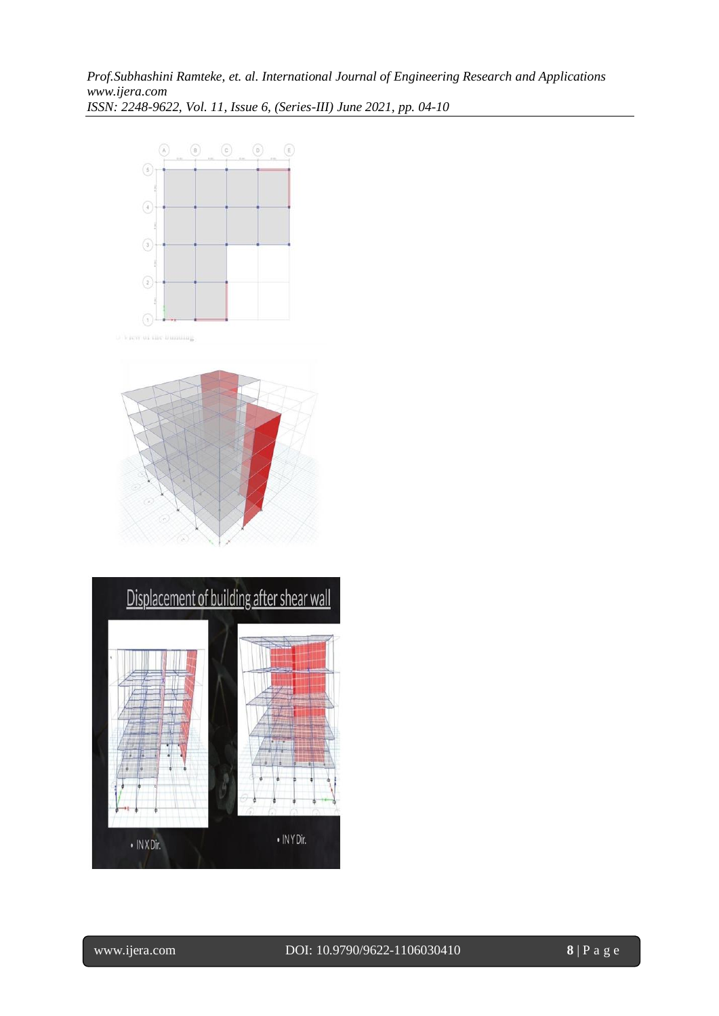



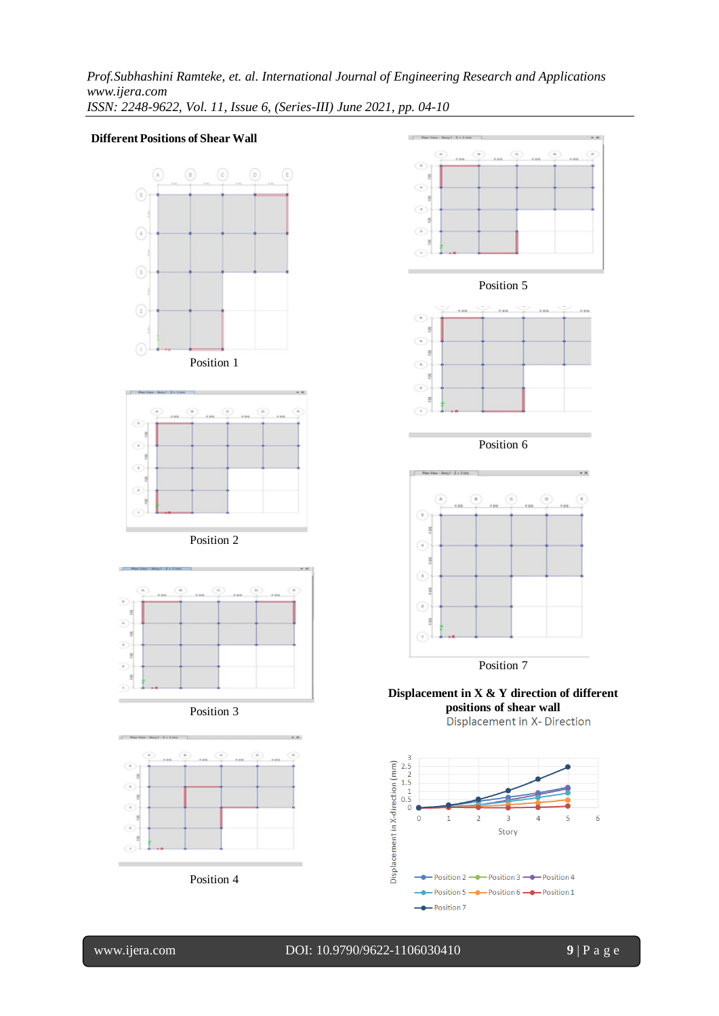*Prof.Subhashini Ramteke, et. al. International Journal of Engineering Research and Applications www.ijera.com ISSN: 2248-9622, Vol. 11, Issue 6, (Series-III) June 2021, pp. 04-10*

#### **DifferentPositions of Shear Wall**













Position 6



**Displacement in X & Y direction of different positions of shear wall**



Î.

l

www.ijera.com DOI: 10.9790/9622-1106030410 **9** | P a g e